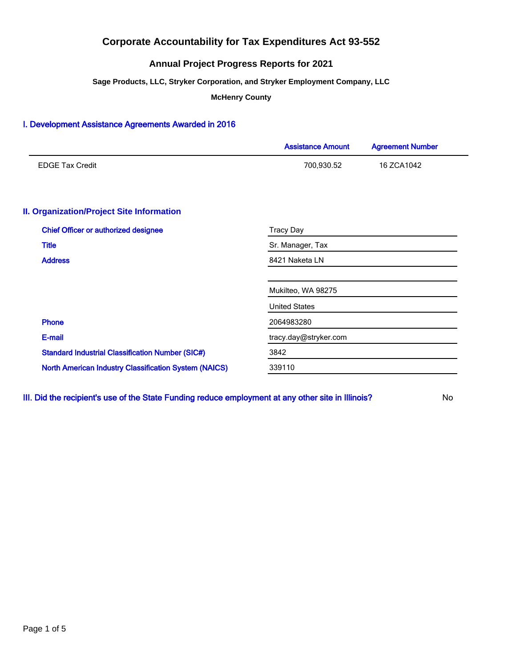## **Annual Project Progress Reports for 2021**

**Sage Products, LLC, Stryker Corporation, and Stryker Employment Company, LLC**

**McHenry County**

### I. Development Assistance Agreements Awarded in 2016

| <b>Assistance Amount</b> | <b>Agreement Number</b> |  |  |
|--------------------------|-------------------------|--|--|
| 700,930.52               | 16 ZCA1042              |  |  |
|                          |                         |  |  |
| <b>Tracy Day</b>         |                         |  |  |
| Sr. Manager, Tax         |                         |  |  |
| 8421 Naketa LN           |                         |  |  |
| Mukilteo, WA 98275       |                         |  |  |
| <b>United States</b>     |                         |  |  |
| 2064983280               |                         |  |  |
| tracy.day@stryker.com    |                         |  |  |
| 3842                     |                         |  |  |
| 339110                   |                         |  |  |
|                          |                         |  |  |

III. Did the recipient's use of the State Funding reduce employment at any other site in Illinois? No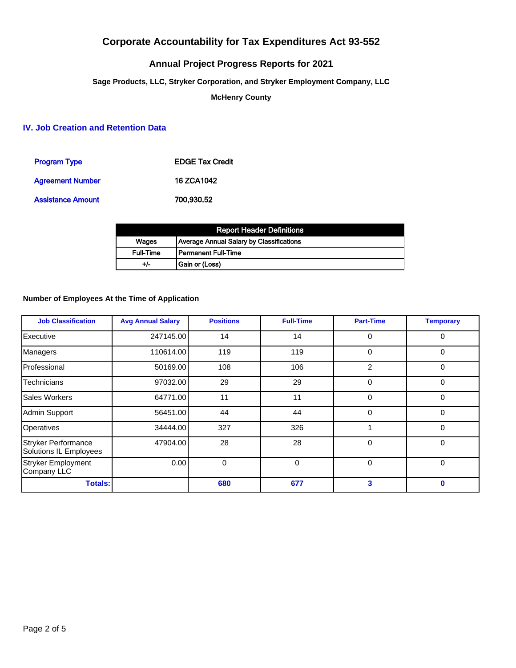# **Annual Project Progress Reports for 2021**

**Sage Products, LLC, Stryker Corporation, and Stryker Employment Company, LLC**

**McHenry County**

## **IV. Job Creation and Retention Data**

| <b>Program Type</b>     | <b>EDGE Tax Credit</b> |
|-------------------------|------------------------|
| <b>Agreement Number</b> | <b>16 ZCA1042</b>      |
| Assistance Amount       | 700,930.52             |

| <b>Report Header Definitions</b> |                                                 |  |  |  |
|----------------------------------|-------------------------------------------------|--|--|--|
| <b>Wages</b>                     | <b>Average Annual Salary by Classifications</b> |  |  |  |
| <b>Full-Time</b>                 | Permanent Full-Time                             |  |  |  |
| +/-                              | Gain or (Loss)                                  |  |  |  |

### **Number of Employees At the Time of Application**

| <b>Job Classification</b>                            | <b>Avg Annual Salary</b> | <b>Positions</b> | <b>Full-Time</b> | <b>Part-Time</b> | <b>Temporary</b> |
|------------------------------------------------------|--------------------------|------------------|------------------|------------------|------------------|
| Executive                                            | 247145.00                | 14               | 14               | 0                | 0                |
| Managers                                             | 110614.00                | 119              | 119              | 0                | 0                |
| Professional                                         | 50169.00                 | 108              | 106              | $\overline{2}$   | $\Omega$         |
| Technicians                                          | 97032.00                 | 29               | 29               | $\Omega$         | $\Omega$         |
| Sales Workers                                        | 64771.00                 | 11               | 11               | $\Omega$         | 0                |
| Admin Support                                        | 56451.00                 | 44               | 44               | 0                | 0                |
| Operatives                                           | 34444.00                 | 327              | 326              |                  | 0                |
| <b>Stryker Performance</b><br>Solutions IL Employees | 47904.00                 | 28               | 28               | 0                | 0                |
| <b>Stryker Employment</b><br>Company LLC             | 0.00                     | 0                | $\Omega$         | $\Omega$         | $\Omega$         |
| <b>Totals:</b>                                       |                          | 680              | 677              | 3                | $\bf{0}$         |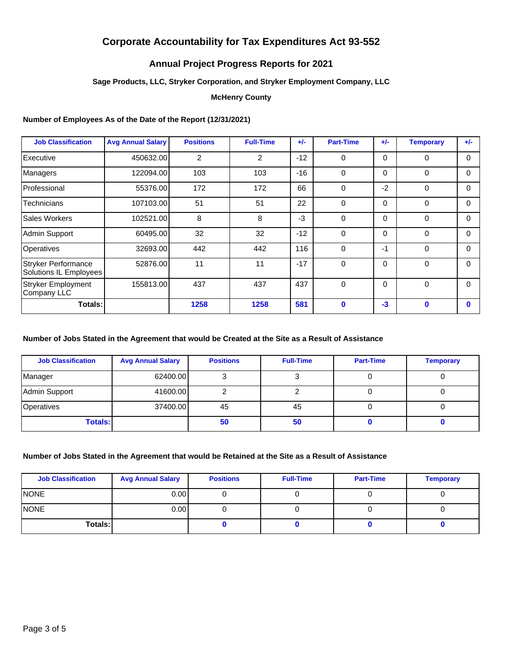## **Annual Project Progress Reports for 2021**

### **Sage Products, LLC, Stryker Corporation, and Stryker Employment Company, LLC**

### **McHenry County**

### **Number of Employees As of the Date of the Report (12/31/2021)**

| <b>Job Classification</b>                     | <b>Avg Annual Salary</b> | <b>Positions</b> | <b>Full-Time</b> | $+/-$ | <b>Part-Time</b> | $+/-$    | <b>Temporary</b> | $+/-$    |
|-----------------------------------------------|--------------------------|------------------|------------------|-------|------------------|----------|------------------|----------|
| Executive                                     | 450632.00                | $\overline{2}$   | 2                | $-12$ | 0                | 0        | $\mathbf 0$      | $\Omega$ |
| Managers                                      | 122094.00                | 103              | 103              | $-16$ | $\mathbf 0$      | 0        | $\Omega$         | $\Omega$ |
| Professional                                  | 55376.00                 | 172              | 172              | 66    | 0                | $-2$     | $\mathbf 0$      | $\Omega$ |
| Technicians                                   | 107103.00                | 51               | 51               | 22    | 0                | 0        | $\Omega$         | $\Omega$ |
| Sales Workers                                 | 102521.00                | 8                | 8                | $-3$  | $\Omega$         | 0        | $\Omega$         | $\Omega$ |
| Admin Support                                 | 60495.00                 | 32               | 32               | $-12$ | $\mathbf 0$      | $\Omega$ | $\mathbf 0$      | $\Omega$ |
| Operatives                                    | 32693.00                 | 442              | 442              | 116   | $\mathbf 0$      | -1       | $\mathbf 0$      | $\Omega$ |
| Stryker Performance<br>Solutions IL Employees | 52876.00                 | 11               | 11               | $-17$ | 0                | 0        | $\Omega$         | $\Omega$ |
| Stryker Employment<br>Company LLC             | 155813.00                | 437              | 437              | 437   | $\Omega$         | $\Omega$ | $\Omega$         | $\Omega$ |
| Totals:                                       |                          | 1258             | 1258             | 581   | $\mathbf 0$      | $-3$     | $\mathbf 0$      | $\bf{0}$ |

## **Number of Jobs Stated in the Agreement that would be Created at the Site as a Result of Assistance**

| <b>Job Classification</b> | <b>Avg Annual Salary</b> | <b>Positions</b> | <b>Full-Time</b> | <b>Part-Time</b> | <b>Temporary</b> |
|---------------------------|--------------------------|------------------|------------------|------------------|------------------|
| Manager                   | 62400.00                 |                  |                  |                  |                  |
| Admin Support             | 41600.00                 |                  |                  |                  |                  |
| Operatives                | 37400.00                 | 45               | 45               |                  |                  |
| <b>Totals:</b>            |                          | 50               | 50               |                  |                  |

#### **Number of Jobs Stated in the Agreement that would be Retained at the Site as a Result of Assistance**

| <b>Job Classification</b> | <b>Avg Annual Salary</b> | <b>Positions</b> | <b>Full-Time</b> | <b>Part-Time</b> | <b>Temporary</b> |
|---------------------------|--------------------------|------------------|------------------|------------------|------------------|
| NONE                      | 0.00 <sub>l</sub>        |                  |                  |                  |                  |
| <b>NONE</b>               | 0.00                     |                  |                  |                  |                  |
| Totals:                   |                          |                  |                  |                  |                  |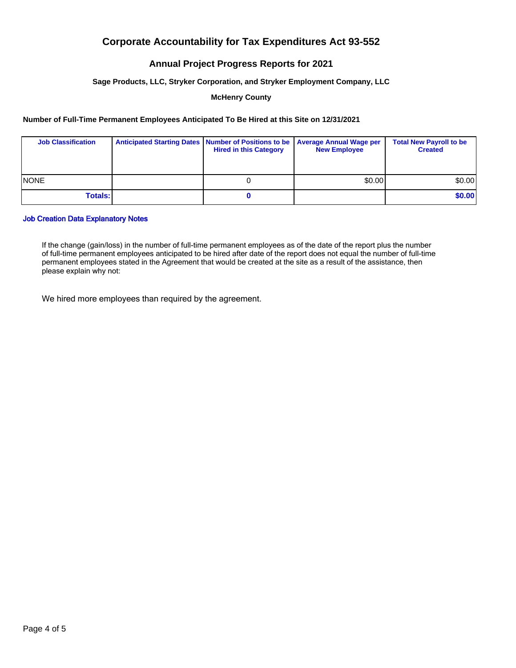## **Annual Project Progress Reports for 2021**

#### **Sage Products, LLC, Stryker Corporation, and Stryker Employment Company, LLC**

#### **McHenry County**

#### **Number of Full-Time Permanent Employees Anticipated To Be Hired at this Site on 12/31/2021**

| <b>Job Classification</b> | Anticipated Starting Dates   Number of Positions to be   Average Annual Wage per<br><b>Hired in this Category</b> | <b>New Employee</b> | <b>Total New Payroll to be</b><br><b>Created</b> |
|---------------------------|-------------------------------------------------------------------------------------------------------------------|---------------------|--------------------------------------------------|
| <b>INONE</b>              |                                                                                                                   | \$0.00              | \$0.00]                                          |
| <b>Totals:</b>            |                                                                                                                   |                     | \$0.00                                           |

#### Job Creation Data Explanatory Notes

If the change (gain/loss) in the number of full-time permanent employees as of the date of the report plus the number of full-time permanent employees anticipated to be hired after date of the report does not equal the number of full-time permanent employees stated in the Agreement that would be created at the site as a result of the assistance, then please explain why not:

We hired more employees than required by the agreement.